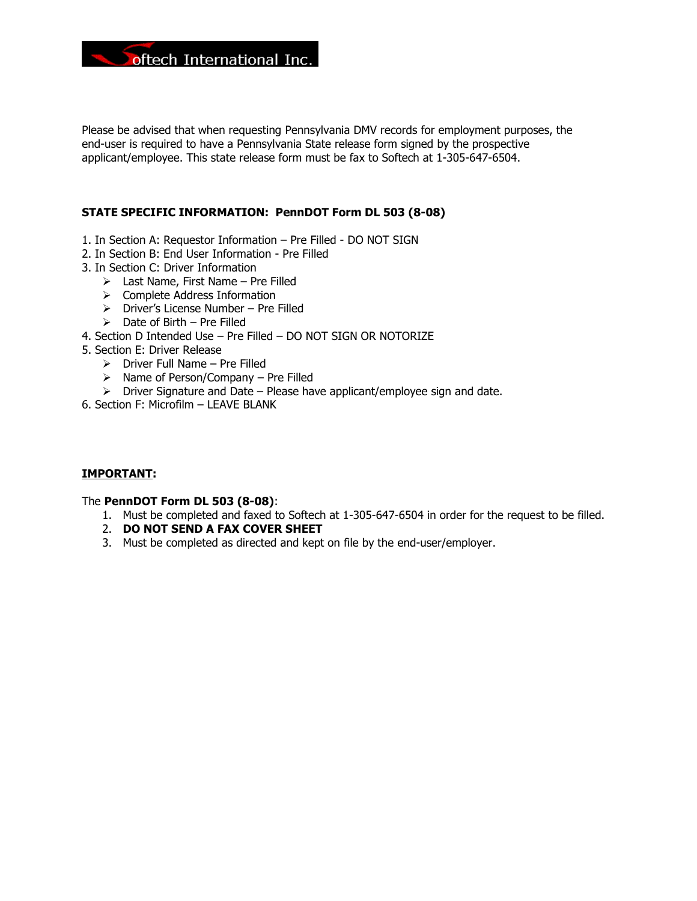

Please be advised that when requesting Pennsylvania DMV records for employment purposes, the end-user is required to have a Pennsylvania State release form signed by the prospective applicant/employee. This state release form must be fax to Softech at 1-305-647-6504.

### STATE SPECIFIC INFORMATION: PennDOT Form DL 503 (8-08)

- 1. In Section A: Requestor Information Pre Filled DO NOT SIGN
- 2. In Section B: End User Information Pre Filled
- 3. In Section C: Driver Information
	- $\triangleright$  Last Name, First Name Pre Filled
	- $\triangleright$  Complete Address Information
	- $\triangleright$  Driver's License Number Pre Filled
	- $\triangleright$  Date of Birth Pre Filled
- 4. Section D Intended Use Pre Filled DO NOT SIGN OR NOTORIZE
- 5. Section E: Driver Release
	- $\triangleright$  Driver Full Name Pre Filled
	- $\triangleright$  Name of Person/Company Pre Filled
	- $\triangleright$  Driver Signature and Date Please have applicant/employee sign and date.
- 6. Section F: Microfilm LEAVE BLANK

### IMPORTANT:

### The PennDOT Form DL 503 (8-08):

- 1. Must be completed and faxed to Softech at 1-305-647-6504 in order for the request to be filled.
- 2. DO NOT SEND A FAX COVER SHEET
- 3. Must be completed as directed and kept on file by the end-user/employer.